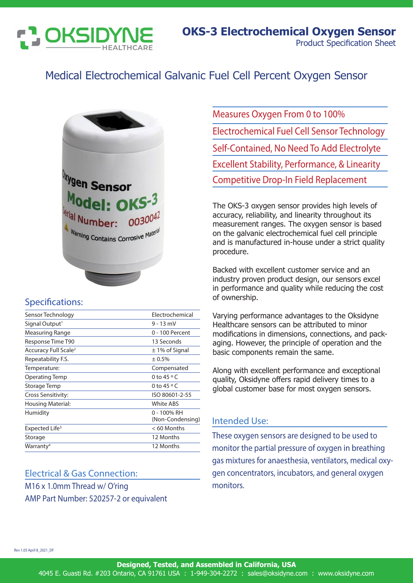

## Medical Electrochemical Galvanic Fuel Cell Percent Oxygen Sensor



#### Specifications:

| Sensor Technology                | Electrochemical                 |
|----------------------------------|---------------------------------|
| Signal Output <sup>1</sup>       | $9 - 13$ mV                     |
| Measuring Range                  | 0 - 100 Percent                 |
| Response Time T90                | 13 Seconds                      |
| Accuracy Full Scale <sup>2</sup> | $\pm$ 1% of Signal              |
| Repeatability F.S.               | ± 0.5%                          |
| Temperature:                     | Compensated                     |
| Operating Temp                   | 0 to 45 $\circ$ C               |
| Storage Temp                     | 0 to $45 \circ C$               |
| Cross Sensitivity:               | ISO 80601-2-55                  |
| Housing Material:                | White ABS                       |
| Humidity                         | 0 - 100% RH<br>(Non-Condensing) |
| Expected Life <sup>3</sup>       | < 60 Months                     |
| Storage                          | 12 Months                       |
| Warranty <sup>4</sup>            | 12 Months                       |

### Electrical & Gas Connection: M16 x 1.0mm Thread w/ O'ring AMP Part Number: 520257-2 or equivalent

Measures Oxygen From 0 to 100% Electrochemical Fuel Cell Sensor Technology Self-Contained, No Need To Add Electrolyte Excellent Stability, Performance, & Linearity Competitive Drop-In Field Replacement

The OKS-3 oxygen sensor provides high levels of accuracy, reliability, and linearity throughout its measurement ranges. The oxygen sensor is based on the galvanic electrochemical fuel cell principle and is manufactured in-house under a strict quality procedure.

Backed with excellent customer service and an industry proven product design, our sensors excel in performance and quality while reducing the cost of ownership.

Varying performance advantages to the Oksidyne Healthcare sensors can be attributed to minor modifications in dimensions, connections, and packaging. However, the principle of operation and the basic components remain the same.

Along with excellent performance and exceptional quality, Oksidyne offers rapid delivery times to a global customer base for most oxygen sensors.

#### Intended Use:

These oxygen sensors are designed to be used to monitor the partial pressure of oxygen in breathing gas mixtures for anaesthesia, ventilators, medical oxygen concentrators, incubators, and general oxygen monitors.

Rev 1.05 April 8\_2021\_DF